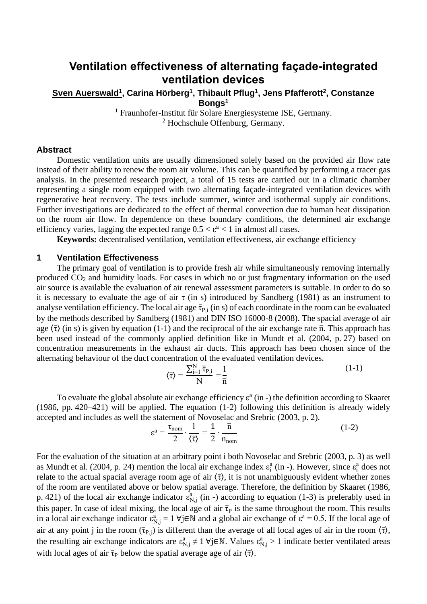# **Ventilation effectiveness of alternating façade-integrated ventilation devices**

**Sven Auerswald<sup>1</sup> , Carina Hörberg<sup>1</sup> , Thibault Pflug<sup>1</sup> , Jens Pfafferott<sup>2</sup> , Constanze Bongs<sup>1</sup>**

<sup>1</sup> Fraunhofer-Institut für Solare Energiesysteme ISE, Germany. <sup>2</sup> Hochschule Offenburg, Germany.

#### **Abstract**

Domestic ventilation units are usually dimensioned solely based on the provided air flow rate instead of their ability to renew the room air volume. This can be quantified by performing a tracer gas analysis. In the presented research project, a total of 15 tests are carried out in a climatic chamber representing a single room equipped with two alternating façade-integrated ventilation devices with regenerative heat recovery. The tests include summer, winter and isothermal supply air conditions. Further investigations are dedicated to the effect of thermal convection due to human heat dissipation on the room air flow. In dependence on these boundary conditions, the determined air exchange efficiency varies, lagging the expected range  $0.5 < \varepsilon^a < 1$  in almost all cases.

**Keywords:** decentralised ventilation, ventilation effectiveness, air exchange efficiency

## **1 Ventilation Effectiveness**

The primary goal of ventilation is to provide fresh air while simultaneously removing internally produced CO<sup>2</sup> and humidity loads. For cases in which no or just fragmentary information on the used air source is available the evaluation of air renewal assessment parameters is suitable. In order to do so it is necessary to evaluate the age of air  $\tau$  (in s) introduced by [Sandberg](#page-3-0) [\(1981\)](#page-3-0) as an instrument to analyse ventilation efficiency. The local air age  $\bar{\tau}_{P,i}$  (in s) of each coordinate in the room can be evaluated by the methods described by [Sandberg](#page-3-0) [\(1981\)](#page-3-0) and [DIN ISO 16000-8 \(2008\).](#page-3-1) The spacial average of air age  $\langle \bar{\tau} \rangle$  (in s) is given by equation [\(1-1\)](#page-0-0) and the reciprocal of the air exchange rate  $\bar{n}$ . This approach has been used instead of the commonly applied definition like in [Mundt et al.](#page-3-2) [\(2004, p.](#page-3-2) 27) based on concentration measurements in the exhaust air ducts. This approach has been chosen since of the alternating behaviour of the duct concentration of the evaluated ventilation devices.

<span id="page-0-1"></span><span id="page-0-0"></span>
$$
\langle \overline{\tau} \rangle = \frac{\sum_{i=1}^{N} \overline{\tau}_{P,i}}{N} = \frac{1}{\overline{n}}
$$
 (1-1)

To evaluate the global absolute air exchange efficiency  $\varepsilon^a$  (in -) the definition according to [Skaaret](#page-3-3) [\(1986, pp.](#page-3-3) 420–421) will be applied. The equation [\(1-2\)](#page-0-1) following this definition is already widely accepted and includes as well the statement of [Novoselac and Srebric](#page-3-4) [\(2003, p.](#page-3-4) 2).

$$
\varepsilon^{a} = \frac{\tau_{nom}}{2} \cdot \frac{1}{\langle \overline{\tau} \rangle} = \frac{1}{2} \cdot \frac{\overline{n}}{n_{nom}}
$$
 (1-2)

For the evaluation of the situation at an arbitrary point i bot[h Novoselac and Srebric](#page-3-4) [\(2003, p.](#page-3-4) 3) as well as [Mundt et al.](#page-3-2) [\(2004, p.](#page-3-2) 24) mention the local air exchange index  $\varepsilon_i^a$  (in -). However, since  $\varepsilon_i^a$  does not relate to the actual spacial average room age of air  $\langle \bar{\tau} \rangle$ , it is not unambiguously evident whether zones of the room are ventilated above or below spatial average. Therefore, the definition by [Skaaret](#page-3-3) [\(1986,](#page-3-3)  p. [421\)](#page-3-3) of the local air exchange indicator  $\epsilon_{N,j}^{a}$  (in -) according to equation [\(1-3\)](#page-1-0) is preferably used in this paper. In case of ideal mixing, the local age of air  $\bar{\tau}_P$  is the same throughout the room. This results in a local air exchange indicator  $\epsilon_{N,j}^a = 1$   $\forall j \in \mathbb{N}$  and a global air exchange of  $\epsilon^a = 0.5$ . If the local age of air at any point j in the room ( $\bar{\tau}_{P,j}$ ) is different than the average of all local ages of air in the room  $\langle \bar{\tau} \rangle$ , the resulting air exchange indicators are  $\varepsilon_{N,j}^a \neq 1$   $\forall j \in \mathbb{N}$ . Values  $\varepsilon_{N,j}^a > 1$  indicate better ventilated areas with local ages of air  $\bar{\tau}_P$  below the spatial average age of air  $\langle \bar{\tau} \rangle$ .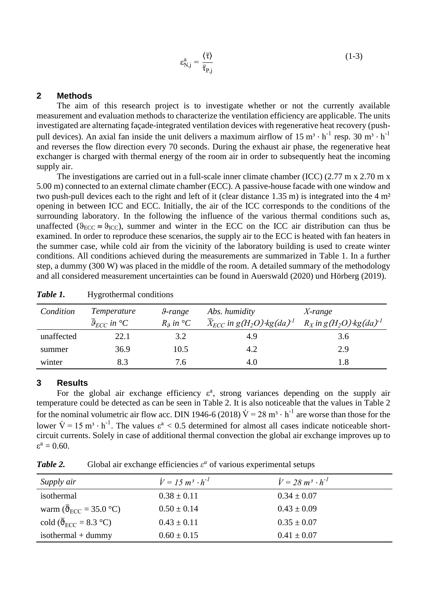<span id="page-1-0"></span>
$$
\varepsilon_{N,j}^a = \frac{\langle \bar{\tau} \rangle}{\bar{\tau}_{P,j}}
$$
 (1-3)

# **2 Methods**

The aim of this research project is to investigate whether or not the currently available measurement and evaluation methods to characterize the ventilation efficiency are applicable. The units investigated are alternating façade-integrated ventilation devices with regenerative heat recovery (pushpull devices). An axial fan inside the unit delivers a maximum airflow of  $15 \text{ m}^3 \cdot \text{h}^{-1}$  resp.  $30 \text{ m}^3 \cdot \text{h}^{-1}$ and reverses the flow direction every 70 seconds. During the exhaust air phase, the regenerative heat exchanger is charged with thermal energy of the room air in order to subsequently heat the incoming supply air.

The investigations are carried out in a full-scale inner climate chamber (ICC) (2.77 m x 2.70 m x 5.00 m) connected to an external climate chamber (ECC). A passive-house facade with one window and two push-pull devices each to the right and left of it (clear distance 1.35 m) is integrated into the 4 m² opening in between ICC and ECC. Initially, the air of the ICC corresponds to the conditions of the surrounding laboratory. In the following the influence of the various thermal conditions such as, unaffected ( $\theta_{\text{ECC}} \approx \theta_{\text{ICC}}$ ), summer and winter in the ECC on the ICC air distribution can thus be examined. In order to reproduce these scenarios, the supply air to the ECC is heated with fan heaters in the summer case, while cold air from the vicinity of the laboratory building is used to create winter conditions. All conditions achieved during the measurements are summarized in [Table 1.](#page-1-1) In a further step, a dummy (300 W) was placed in the middle of the room. A detailed summary of the methodology and all considered measurement uncertainties can be found in Auerswald (2020) und [Hörberg](#page-3-5) [\(2019\).](#page-3-5)

| Condition  | <i>Temperature</i><br>$\overline{\vartheta}_{ECC}$ in $^{\circ}C$ | 9-range<br>$R_{.9}$ in $^{\circ}C$ | Abs. humidity<br>$\overline{X}_{ECC}$ in $g(H_2O)$ kg(da) <sup>-1</sup> | $X$ -range<br>$R_X$ in $g(H_2O)$ kg(da) <sup>1</sup> |
|------------|-------------------------------------------------------------------|------------------------------------|-------------------------------------------------------------------------|------------------------------------------------------|
| unaffected | 22.1                                                              | 3.2                                | 4.9                                                                     | 3.6                                                  |
| summer     | 36.9                                                              | 10.5                               | 4.2                                                                     | 2.9                                                  |
| winter     | 8.3                                                               | 7.6                                | 4.0                                                                     | l.8                                                  |

<span id="page-1-1"></span>*Table 1.* Hygrothermal conditions

#### **3 Results**

For the global air exchange efficiency  $\varepsilon^a$ , strong variances depending on the supply air temperature could be detected as can be seen in [Table 2.](#page-1-2) It is also noticeable that the values in [Table 2](#page-1-2) for the nominal volumetric air flow acc. [DIN 1946-6 \(2018\)](#page-3-6)  $\dot{V} = 28 \text{ m}^3 \cdot \text{h}^{-1}$  are worse than those for the lower  $\dot{V} = 15 \text{ m}^3 \cdot \text{h}^{-1}$ . The values  $\epsilon^a < 0.5$  determined for almost all cases indicate noticeable shortcircuit currents. Solely in case of additional thermal convection the global air exchange improves up to  $\varepsilon^a = 0.60$ .

<span id="page-1-2"></span>**Table 2.** Global air exchange efficiencies  $\varepsilon^a$  of various experimental setups

| Supply air                                                                     | $\dot{V} = 15 \; m^3 \cdot h^{-1}$ | $\dot{V} = 28 \; \text{m}^3 \cdot \text{h}^{-1}$ |
|--------------------------------------------------------------------------------|------------------------------------|--------------------------------------------------|
| isothermal                                                                     | $0.38 \pm 0.11$                    | $0.34 \pm 0.07$                                  |
| warm ( $\overline{\theta}_{\text{ECC}}$ = 35.0 °C)                             | $0.50 \pm 0.14$                    | $0.43 \pm 0.09$                                  |
| cold ( $\overline{\mathfrak{G}}_{\text{ECC}} = 8.3 \text{ }^{\circ}\text{C}$ ) | $0.43 \pm 0.11$                    | $0.35 \pm 0.07$                                  |
| isothermal $+$ dummy                                                           | $0.60 \pm 0.15$                    | $0.41 \pm 0.07$                                  |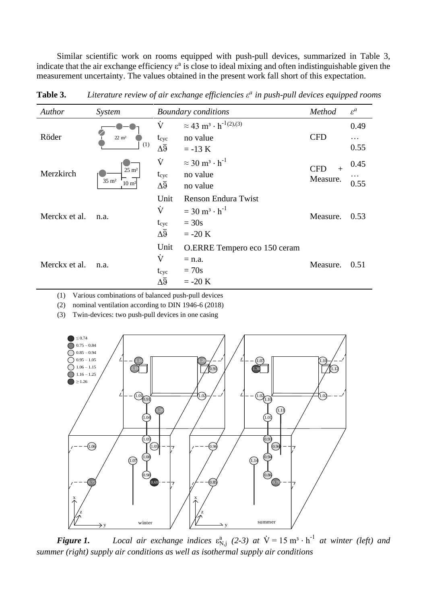Similar scientific work on rooms equipped with push-pull devices, summarized in [Table 3,](#page-2-0) indicate that the air exchange efficiency  $\varepsilon^a$  is close to ideal mixing and often indistinguishable given the measurement uncertainty. The values obtained in the present work fall short of this expectation.

| Author        | System                                                       | <b>Boundary conditions</b> |                                                      | Method                        | $\varepsilon^a$ |
|---------------|--------------------------------------------------------------|----------------------------|------------------------------------------------------|-------------------------------|-----------------|
| Röder         | $22 \text{ m}^2$<br>(1)                                      | Ÿ                          | $\approx$ 43 m <sup>3</sup> · h <sup>-1(2),(3)</sup> |                               | 0.49            |
|               |                                                              | $t_{\rm cyc}$              | no value                                             | <b>CFD</b>                    | .               |
|               |                                                              | $\Delta\overline{9}$       | $= -13 K$                                            |                               | 0.55            |
|               | $25 \text{ m}^2$<br>$35 \text{ m}^2$<br>$10 \; \mathrm{m}^2$ | Ÿ                          | $\approx$ 30 m <sup>3</sup> · h <sup>-1</sup>        | <b>CFD</b><br>$+$<br>Measure. | 0.45            |
| Merzkirch     |                                                              | $t_{\rm cyc}$              | no value                                             |                               |                 |
|               |                                                              | $\Delta\overline{9}$       | no value                                             |                               | 0.55            |
|               | n.a.                                                         | Unit                       | <b>Renson Endura Twist</b>                           | Measure.                      |                 |
| Merckx et al. |                                                              | Ÿ                          | $= 30 \text{ m}^3 \cdot \text{h}^{-1}$               |                               | 0.53            |
|               |                                                              | $t_{\rm cyc}$              | $= 30s$                                              |                               |                 |
|               |                                                              | $\Delta \overline{9}$      | $= -20 K$                                            |                               |                 |
|               | n.a.                                                         | Unit                       | O.ERRE Tempero eco 150 ceram                         | Measure.                      |                 |
| Merckx et al. |                                                              | Ÿ                          | $=$ n.a.                                             |                               | 0.51            |
|               |                                                              | $t_{\rm cyc}$              | $= 70s$                                              |                               |                 |
|               |                                                              | $\Delta \overline{9}$      | $= -20 K$                                            |                               |                 |

<span id="page-2-0"></span>**Table 3.** *Literature review of air exchange efficiencies ε a in push-pull devices equipped rooms*

(1) Various combinations of balanced push-pull devices

(2) nominal ventilation according to [DIN 1946-6 \(2018\)](#page-3-6)

(3) Twin-devices: two push-pull devices in one casing

<span id="page-2-1"></span>

*Figure 1. Local air exchange indices*  $\varepsilon_{N,j}^{a}$  (2-3) at  $\dot{V} = 15 \text{ m}^3 \cdot \text{h}^{-1}$  at winter (left) and *summer (right) supply air conditions as well as isothermal supply air conditions*